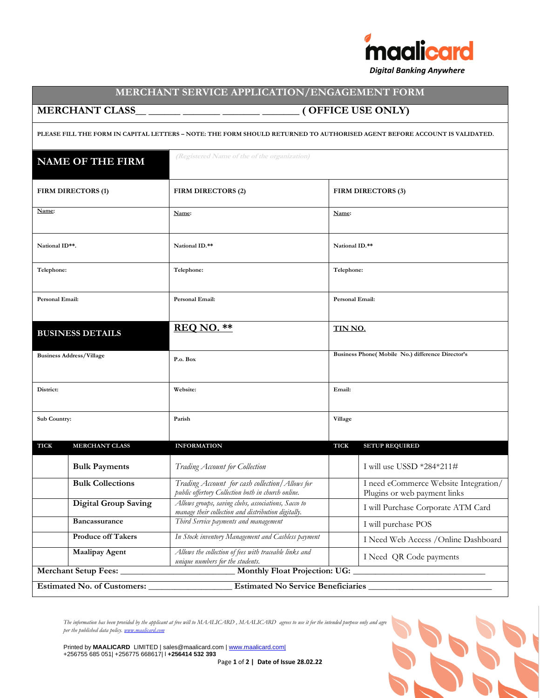

## **MERCHANT SERVICE APPLICATION/ENGAGEMENT FORM**

## **MERCHANT CLASS\_\_ \_\_\_\_\_\_ \_\_\_\_\_\_\_ \_\_\_\_\_\_\_ \_\_\_\_\_\_\_ ( OFFICE USE ONLY)**

**PLEASE FILL THE FORM IN CAPITAL LETTERS – NOTE: THE FORM SHOULD RETURNED TO AUTHORISED AGENT BEFORE ACCOUNT IS VALIDATED.**

| <b>NAME OF THE FIRM</b>              | (Registered Name of the of the organization)                                                               |                                                                       |
|--------------------------------------|------------------------------------------------------------------------------------------------------------|-----------------------------------------------------------------------|
| FIRM DIRECTORS (1)                   | FIRM DIRECTORS (2)                                                                                         | FIRM DIRECTORS (3)                                                    |
| Name:                                | Name:                                                                                                      | Name:                                                                 |
| National ID**.                       | National ID.**                                                                                             | National ID.**                                                        |
| Telephone:                           | Telephone:                                                                                                 | Telephone:                                                            |
| Personal Email:                      | Personal Email:                                                                                            | Personal Email:                                                       |
| <b>BUSINESS DETAILS</b>              | <b>REQ NO. **</b>                                                                                          | <u>TIN NO.</u>                                                        |
| <b>Business Address/Village</b>      | P.o. Box                                                                                                   | Business Phone( Mobile No.) difference Director's                     |
| District:                            | Website:                                                                                                   | Email:                                                                |
| Sub Country:                         | Parish                                                                                                     | Village                                                               |
| <b>TICK</b><br><b>MERCHANT CLASS</b> | <b>INFORMATION</b>                                                                                         | <b>TICK</b><br><b>SETUP REQUIRED</b>                                  |
| <b>Bulk Payments</b>                 | Trading Account for Collection                                                                             | I will use USSD $*284*211\#$                                          |
| <b>Bulk Collections</b>              | Trading Account for cash collection   Allows for<br>public offertory Collection both in church online.     | I need eCommerce Website Integration/<br>Plugins or web payment links |
| <b>Digital Group Saving</b>          | Allows groups, saving clubs, associations, Sacco to<br>manage their collection and distribution digitally. | I will Purchase Corporate ATM Card                                    |
| <b>Bancassurance</b>                 | Third Service payments and management                                                                      | I will purchase POS                                                   |
| <b>Produce off Takers</b>            | In Stock inventory Management and Cashless payment                                                         | I Need Web Access / Online Dashboard                                  |
| <b>Maalipay Agent</b>                | Allows the collection of fees with traceable links and<br>unique numbers for the students.                 | I Need QR Code payments                                               |
| Merchant Setup Fees:                 |                                                                                                            | <b>Monthly Float Projection: UG:</b>                                  |

The information has been provided by the applicant at free will to MAALICARD , MAALICARD agrees to use it for the intended purpose only and agre *per the published data policy[. www.maalicard.com](http://www.maalicard.com/)*

Printed by **MAALICARD** LIMITED | sales@maalicard.com [| www.maalicard.com|](http://www.maalicard.com|/) +256755 685 051| +256775 668617| l **+256414 532 393**

Page **1** of **2 | Date of Issue 28.02.22**